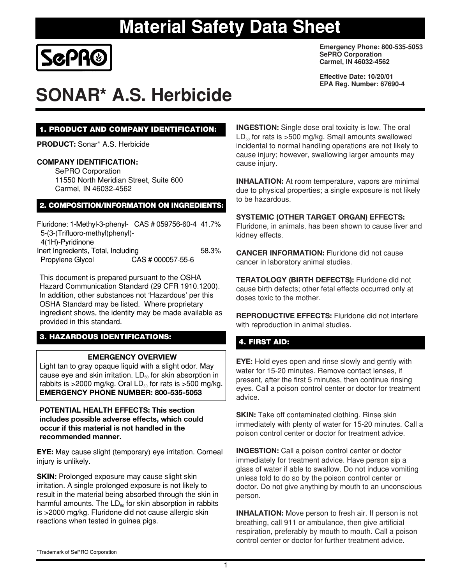

# **SONAR\* A.S. Herbicide**

**Emergency Phone: 800-535-5053 SePRO Corporation Carmel, IN 46032-4562**

**Effective Date: 10/20/01 EPA Reg. Number: 67690-4**

#### **1. PRODUCT AND COMPANY IDENTIFICATION:**

**PRODUCT:** Sonar\* A.S. Herbicide

#### **COMPANY IDENTIFICATION:**

SePRO Corporation 11550 North Meridian Street, Suite 600 Carmel, IN 46032-4562

#### **2. COMPOSITION/INFORMATION ON INGREDIENTS:**

| Fluridone: 1-Methyl-3-phenyl- CAS # 059756-60-4 41.7% |                   |       |
|-------------------------------------------------------|-------------------|-------|
| 5-(3-(Trifluoro-methyl)phenyl)-                       |                   |       |
| 4(1H)-Pyridinone                                      |                   |       |
| Inert Ingredients, Total, Including                   |                   | 58.3% |
| Propylene Glycol                                      | CAS # 000057-55-6 |       |

This document is prepared pursuant to the OSHA Hazard Communication Standard (29 CFR 1910.1200). In addition, other substances not 'Hazardous' per this OSHA Standard may be listed. Where proprietary ingredient shows, the identity may be made available as provided in this standard.

# **3. HAZARDOUS IDENTIFICATIONS: 4. FIRST AID:**

#### **EMERGENCY OVERVIEW**

Light tan to gray opaque liquid with a slight odor. May cause eye and skin irritation.  $LD_{50}$  for skin absorption in rabbits is >2000 mg/kg. Oral  $LD_{50}$  for rats is >500 mg/kg. **EMERGENCY PHONE NUMBER: 800-535-5053**

#### **POTENTIAL HEALTH EFFECTS: This section includes possible adverse effects, which could occur if this material is not handled in the recommended manner.**

**EYE:** May cause slight (temporary) eye irritation. Corneal injury is unlikely.

**SKIN:** Prolonged exposure may cause slight skin irritation. A single prolonged exposure is not likely to result in the material being absorbed through the skin in harmful amounts. The  $LD_{50}$  for skin absorption in rabbits is >2000 mg/kg. Fluridone did not cause allergic skin reactions when tested in guinea pigs.

**INGESTION:** Single dose oral toxicity is low. The oral  $LD_{50}$  for rats is >500 mg/kg. Small amounts swallowed incidental to normal handling operations are not likely to cause injury; however, swallowing larger amounts may cause injury.

**INHALATION:** At room temperature, vapors are minimal due to physical properties; a single exposure is not likely to be hazardous.

#### **SYSTEMIC (OTHER TARGET ORGAN) EFFECTS:**

Fluridone, in animals, has been shown to cause liver and kidney effects.

**CANCER INFORMATION:** Fluridone did not cause cancer in laboratory animal studies.

**TERATOLOGY (BIRTH DEFECTS):** Fluridone did not cause birth defects; other fetal effects occurred only at doses toxic to the mother.

**REPRODUCTIVE EFFECTS:** Fluridone did not interfere with reproduction in animal studies.

**EYE:** Hold eyes open and rinse slowly and gently with water for 15-20 minutes. Remove contact lenses, if present, after the first 5 minutes, then continue rinsing eyes. Call a poison control center or doctor for treatment advice.

**SKIN:** Take off contaminated clothing. Rinse skin immediately with plenty of water for 15-20 minutes. Call a poison control center or doctor for treatment advice.

**INGESTION:** Call a poison control center or doctor immediately for treatment advice. Have person sip a glass of water if able to swallow. Do not induce vomiting unless told to do so by the poison control center or doctor. Do not give anything by mouth to an unconscious person.

**INHALATION:** Move person to fresh air. If person is not breathing, call 911 or ambulance, then give artificial respiration, preferably by mouth to mouth. Call a poison control center or doctor for further treatment advice.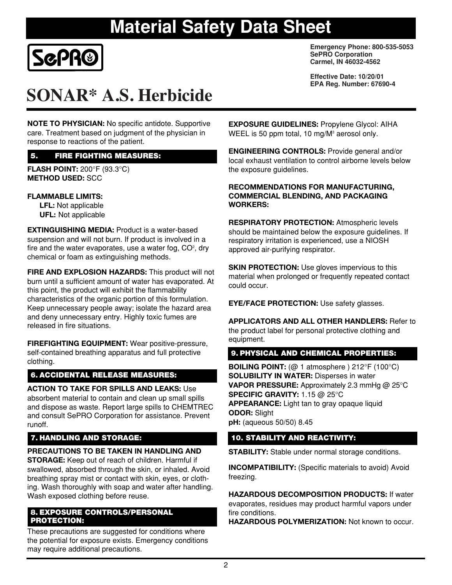

# **SONAR\* A.S. Herbicide**

**NOTE TO PHYSICIAN:** No specific antidote. Supportive care. Treatment based on judgment of the physician in response to reactions of the patient.

# **5. FIRE FIGHTING MEASURES:**

**FLASH POINT:** 200°F (93.3°C) **METHOD USED:** SCC

### **FLAMMABLE LIMITS:**

**LFL:** Not applicable **UFL:** Not applicable

**EXTINGUISHING MEDIA:** Product is a water-based suspension and will not burn. If product is involved in a fire and the water evaporates, use a water fog,  $CO<sup>2</sup>$ , dry chemical or foam as extinguishing methods.

**FIRE AND EXPLOSION HAZARDS:** This product will not burn until a sufficient amount of water has evaporated. At this point, the product will exhibit the flammability characteristics of the organic portion of this formulation. Keep unnecessary people away; isolate the hazard area and deny unnecessary entry. Highly toxic fumes are released in fire situations.

**FIREFIGHTING EQUIPMENT:** Wear positive-pressure, self-contained breathing apparatus and full protective clothing.

# **6. ACCIDENTAL RELEASE MEASURES:**

# **ACTION TO TAKE FOR SPILLS AND LEAKS:** Use

absorbent material to contain and clean up small spills and dispose as waste. Report large spills to CHEMTREC and consult SePRO Corporation for assistance. Prevent runoff.

# **7. HANDLING AND STORAGE:**

### **PRECAUTIONS TO BE TAKEN IN HANDLING AND**

**STORAGE:** Keep out of reach of children. Harmful if swallowed, absorbed through the skin, or inhaled. Avoid breathing spray mist or contact with skin, eyes, or clothing. Wash thoroughly with soap and water after handling. Wash exposed clothing before reuse.

#### **8. EXPOSURE CONTROLS/PERSONAL PROTECTION:**

These precautions are suggested for conditions where the potential for exposure exists. Emergency conditions may require additional precautions.

**Emergency Phone: 800-535-5053 SePRO Corporation Carmel, IN 46032-4562**

**Effective Date: 10/20/01 EPA Reg. Number: 67690-4**

**EXPOSURE GUIDELINES:** Propylene Glycol: AIHA WEEL is 50 ppm total, 10 mg/M<sup>3</sup> aerosol only.

**ENGINEERING CONTROLS:** Provide general and/or local exhaust ventilation to control airborne levels below the exposure guidelines.

#### **RECOMMENDATIONS FOR MANUFACTURING, COMMERCIAL BLENDING, AND PACKAGING WORKERS:**

**RESPIRATORY PROTECTION:** Atmospheric levels should be maintained below the exposure guidelines. If respiratory irritation is experienced, use a NIOSH approved air-purifying respirator.

**SKIN PROTECTION:** Use gloves impervious to this material when prolonged or frequently repeated contact could occur.

**EYE/FACE PROTECTION:** Use safety glasses.

**APPLICATORS AND ALL OTHER HANDLERS:** Refer to the product label for personal protective clothing and equipment.

# **9. PHYSICAL AND CHEMICAL PROPERTIES:**

**BOILING POINT:** (@ 1 atmosphere ) 212°F (100°C) **SOLUBILITY IN WATER:** Disperses in water **VAPOR PRESSURE:** Approximately 2.3 mmHg @ 25°C **SPECIFIC GRAVITY:** 1.15 @ 25°C **APPEARANCE:** Light tan to gray opaque liquid **ODOR:** Slight **pH:** (aqueous 50/50) 8.45

# **10. STABILITY AND REACTIVITY:**

**STABILITY:** Stable under normal storage conditions.

**INCOMPATIBILITY:** (Specific materials to avoid) Avoid freezing.

**HAZARDOUS DECOMPOSITION PRODUCTS:** If water evaporates, residues may product harmful vapors under fire conditions.

**HAZARDOUS POLYMERIZATION:** Not known to occur.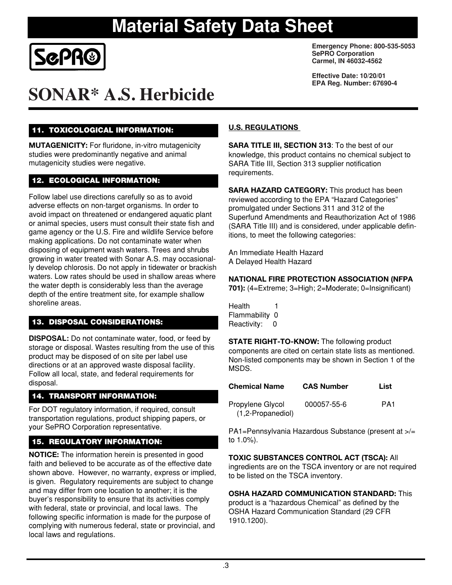

# **SONAR\* A.S. Herbicide**

# **11. TOXICOLOGICAL INFORMATION:**

**MUTAGENICITY:** For fluridone, in-vitro mutagenicity studies were predominantly negative and animal mutagenicity studies were negative.

# **12. ECOLOGICAL INFORMATION:**

Follow label use directions carefully so as to avoid adverse effects on non-target organisms. In order to avoid impact on threatened or endangered aquatic plant or animal species, users must consult their state fish and game agency or the U.S. Fire and wildlife Service before making applications. Do not contaminate water when disposing of equipment wash waters. Trees and shrubs growing in water treated with Sonar A.S. may occasionally develop chlorosis. Do not apply in tidewater or brackish waters. Low rates should be used in shallow areas where the water depth is considerably less than the average depth of the entire treatment site, for example shallow shoreline areas.

# **13. DISPOSAL CONSIDERATIONS:**

**DISPOSAL:** Do not contaminate water, food, or feed by storage or disposal. Wastes resulting from the use of this product may be disposed of on site per label use directions or at an approved waste disposal facility. Follow all local, state, and federal requirements for disposal.

# **14. TRANSPORT INFORMATION:**

For DOT regulatory information, if required, consult transportation regulations, product shipping papers, or your SePRO Corporation representative.

# **15. REGULATORY INFORMATION:**

**NOTICE:** The information herein is presented in good faith and believed to be accurate as of the effective date shown above. However, no warranty, express or implied, is given. Regulatory requirements are subject to change and may differ from one location to another; it is the buyer's responsibility to ensure that its activities comply with federal, state or provincial, and local laws. The following specific information is made for the purpose of complying with numerous federal, state or provincial, and local laws and regulations.

**Emergency Phone: 800-535-5053 SePRO Corporation Carmel, IN 46032-4562**

**Effective Date: 10/20/01 EPA Reg. Number: 67690-4**

### **U.S. REGULATIONS**

**SARA TITLE III, SECTION 313**: To the best of our knowledge, this product contains no chemical subject to SARA Title III, Section 313 supplier notification requirements.

**SARA HAZARD CATEGORY:** This product has been reviewed according to the EPA "Hazard Categories" promulgated under Sections 311 and 312 of the Superfund Amendments and Reauthorization Act of 1986 (SARA Title III) and is considered, under applicable definitions, to meet the following categories:

An Immediate Health Hazard A Delayed Health Hazard

### **NATIONAL FIRE PROTECTION ASSOCIATION (NFPA**

**701):** (4=Extreme; 3=High; 2=Moderate; 0=Insignificant)

**Health** Flammability 0 Reactivity: 0

**STATE RIGHT-TO-KNOW:** The following product

components are cited on certain state lists as mentioned. Non-listed components may be shown in Section 1 of the MSDS.

| Chemical Name                         | <b>CAS Number</b> | List            |
|---------------------------------------|-------------------|-----------------|
| Propylene Glycol<br>(1,2-Propanediol) | 000057-55-6       | PA <sub>1</sub> |

PA1=Pennsylvania Hazardous Substance (present at >/= to 1.0%).

**TOXIC SUBSTANCES CONTROL ACT (TSCA):** All ingredients are on the TSCA inventory or are not required to be listed on the TSCA inventory.

### **OSHA HAZARD COMMUNICATION STANDARD:** This

product is a "hazardous Chemical" as defined by the OSHA Hazard Communication Standard (29 CFR 1910.1200).